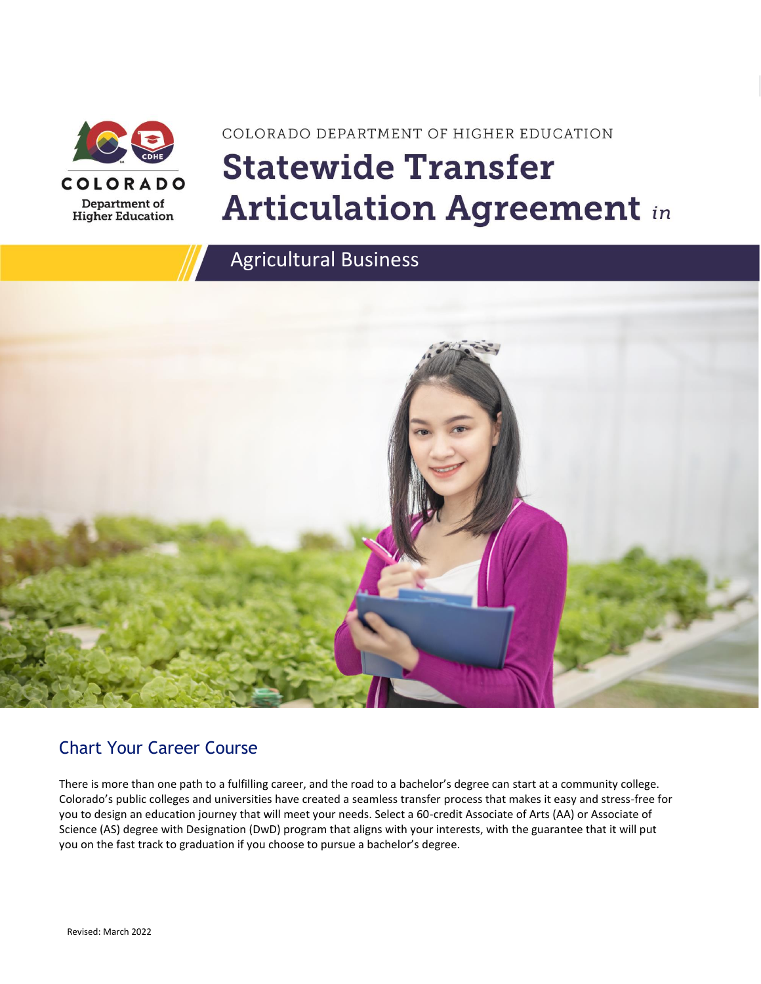

# COLORADO DEPARTMENT OF HIGHER EDUCATION **Statewide Transfer Articulation Agreement in**





### Chart Your Career Course

There is more than one path to a fulfilling career, and the road to a bachelor's degree can start at a community college. Colorado's public colleges and universities have created a seamless transfer process that makes it easy and stress-free for you to design an education journey that will meet your needs. Select a 60-credit Associate of Arts (AA) or Associate of Science (AS) degree with Designation (DwD) program that aligns with your interests, with the guarantee that it will put you on the fast track to graduation if you choose to pursue a bachelor's degree.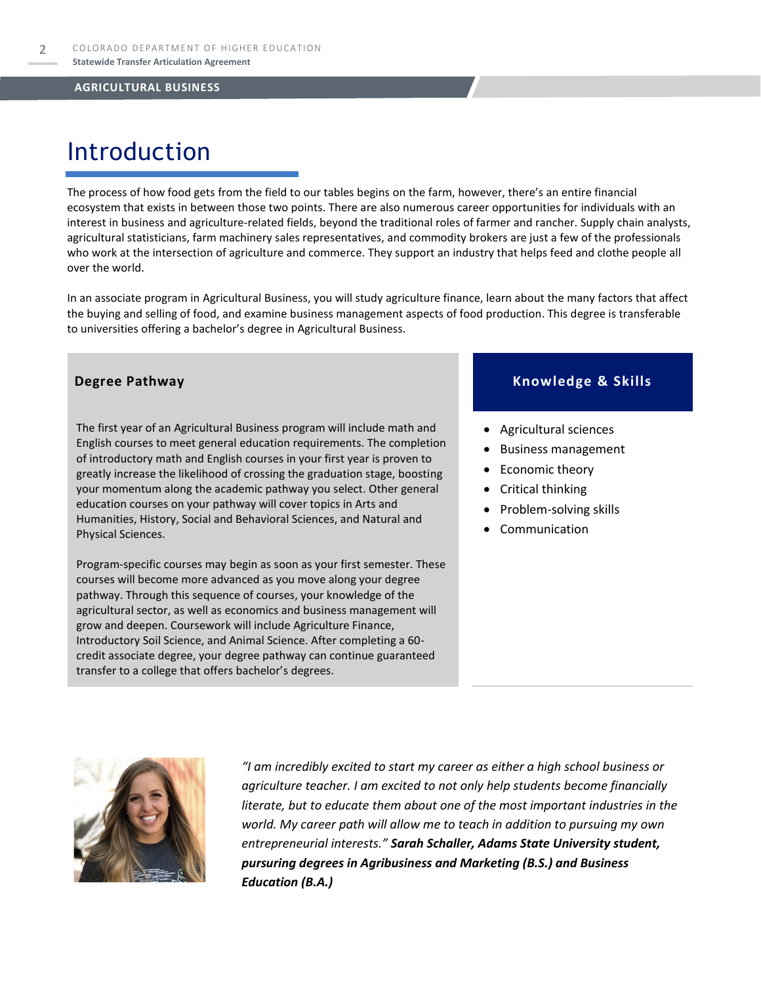### Introduction

The process of how food gets from the field to our tables begins on the farm, however, there's an entire financial ecosystem that exists in between those two points. There are also numerous career opportunities for individuals with an interest in business and agriculture-related fields, beyond the traditional roles of farmer and rancher. Supply chain analysts, agricultural statisticians, farm machinery sales representatives, and commodity brokers are just a few of the professionals who work at the intersection of agriculture and commerce. They support an industry that helps feed and clothe people all over the world.

In an associate program in Agricultural Business, you will study agriculture finance, learn about the many factors that affect the buying and selling of food, and examine business management aspects of food production. This degree is transferable to universities offering a bachelor's degree in Agricultural Business.

The first year of an Agricultural Business program will include math and English courses to meet general education requirements. The completion of introductory math and English courses in your first year is proven to greatly increase the likelihood of crossing the graduation stage, boosting your momentum along the academic pathway you select. Other general education courses on your pathway will cover topics in Arts and Humanities, History, Social and Behavioral Sciences, and Natural and Physical Sciences.

Program-specific courses may begin as soon as your first semester. These courses will become more advanced as you move along your degree pathway. Through this sequence of courses, your knowledge of the agricultural sector, as well as economics and business management will grow and deepen. Coursework will include Agriculture Finance, Introductory Soil Science, and Animal Science. After completing a 60 credit associate degree, your degree pathway can continue guaranteed transfer to a college that offers bachelor's degrees.

### **Degree Pathway Knowledge & Skills**

- Agricultural sciences
- Business management
- Economic theory
- Critical thinking
- Problem-solving skills
- **Communication**



*"I am incredibly excited to start my career as either a high school business or agriculture teacher. I am excited to not only help students become financially literate, but to educate them about one of the most important industries in the world. My career path will allow me to teach in addition to pursuing my own entrepreneurial interests." Sarah Schaller, Adams State University student, pursuring degrees in Agribusiness and Marketing (B.S.) and Business Education (B.A.)*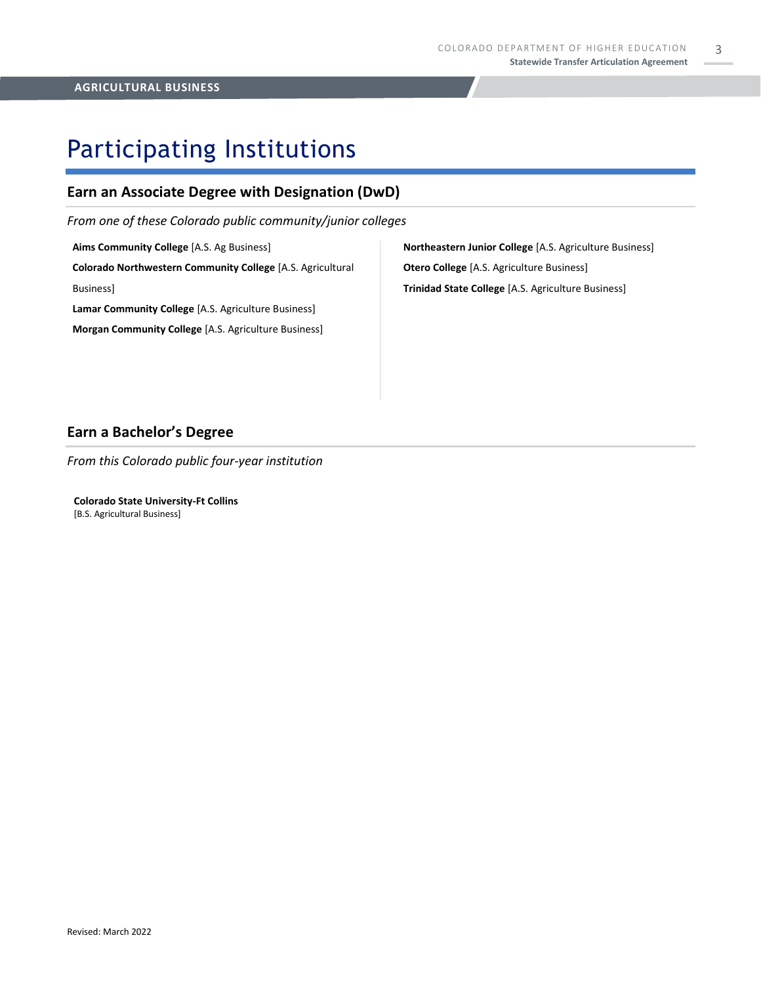3

### Participating Institutions

### **Earn an Associate Degree with Designation (DwD)**

*From one of these Colorado public community/junior colleges*

**Aims Community College** [A.S. Ag Business] **Colorado Northwestern Community College** [A.S. Agricultural Business]

**Lamar Community College** [A.S. Agriculture Business]

**Morgan Community College** [A.S. Agriculture Business]

**Northeastern Junior College** [A.S. Agriculture Business] **Otero College** [A.S. Agriculture Business] **Trinidad State College** [A.S. Agriculture Business]

### **Earn a Bachelor's Degree**

*From this Colorado public four-year institution*

**Colorado State University-Ft Collins**  [B.S. Agricultural Business]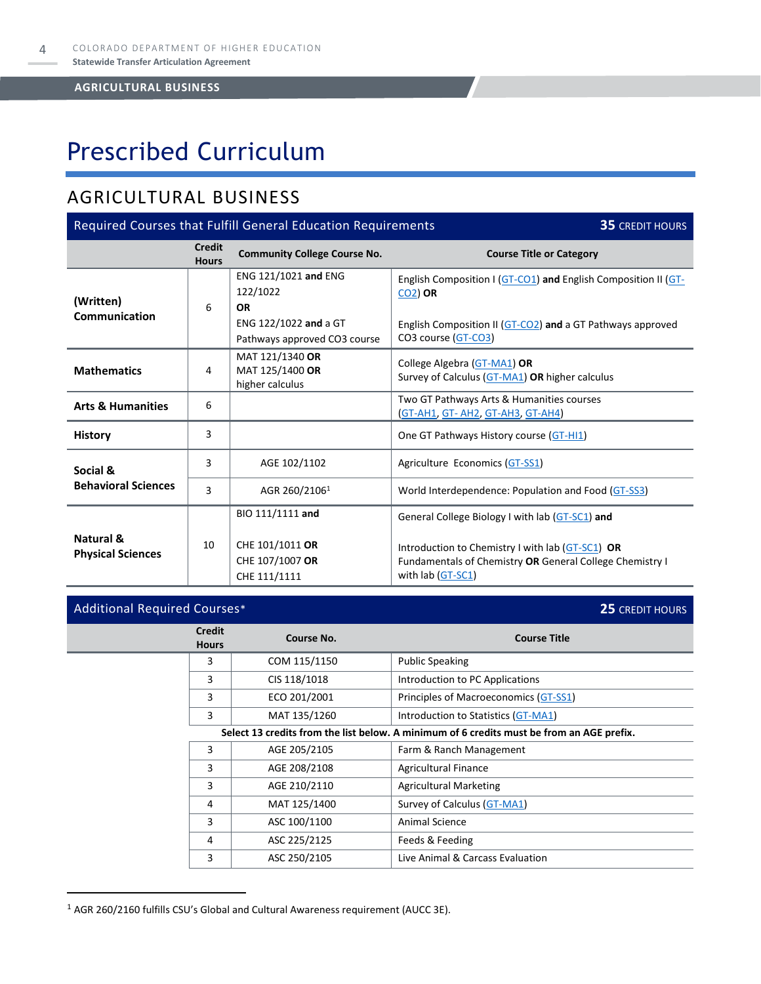# Prescribed Curriculum

### AGRICULTURAL BUSINESS

| Required Courses that Fulfill General Education Requirements<br><b>35 CREDIT HOURS</b> |                               |                                                                                                        |                                                                                                                                                                                        |  |  |
|----------------------------------------------------------------------------------------|-------------------------------|--------------------------------------------------------------------------------------------------------|----------------------------------------------------------------------------------------------------------------------------------------------------------------------------------------|--|--|
|                                                                                        | <b>Credit</b><br><b>Hours</b> | <b>Community College Course No.</b>                                                                    | <b>Course Title or Category</b>                                                                                                                                                        |  |  |
| (Written)<br>Communication                                                             | 6                             | ENG 121/1021 and ENG<br>122/1022<br><b>OR</b><br>ENG 122/1022 and a GT<br>Pathways approved CO3 course | English Composition I (GT-CO1) and English Composition II (GT-<br>$CO2$ ) OR<br>English Composition II (GT-CO2) and a GT Pathways approved<br>CO3 course (GT-CO3)                      |  |  |
| <b>Mathematics</b>                                                                     | 4                             | MAT 121/1340 OR<br>MAT 125/1400 OR<br>higher calculus                                                  | College Algebra (GT-MA1) OR<br>Survey of Calculus (GT-MA1) OR higher calculus                                                                                                          |  |  |
| <b>Arts &amp; Humanities</b>                                                           | 6                             |                                                                                                        | Two GT Pathways Arts & Humanities courses<br><u>(GT-AH1, GT- AH2, GT-AH3, GT-AH4)</u>                                                                                                  |  |  |
| <b>History</b>                                                                         | 3                             |                                                                                                        | One GT Pathways History course (GT-HI1)                                                                                                                                                |  |  |
| Social &                                                                               | 3                             | AGE 102/1102                                                                                           | Agriculture Economics (GT-SS1)                                                                                                                                                         |  |  |
| <b>Behavioral Sciences</b>                                                             | 3                             | AGR 260/21061                                                                                          | World Interdependence: Population and Food (GT-SS3)                                                                                                                                    |  |  |
| Natural &<br><b>Physical Sciences</b>                                                  | 10                            | BIO 111/1111 and<br>CHE 101/1011 OR<br>CHE 107/1007 OR<br>CHE 111/1111                                 | General College Biology I with lab (GT-SC1) and<br>Introduction to Chemistry I with lab (GT-SC1) OR<br>Fundamentals of Chemistry OR General College Chemistry I<br>with lab $(GT-SC1)$ |  |  |

| <b>Additional Required Courses*</b>                                                       |                               |                   | 25 CREDIT HOURS                       |
|-------------------------------------------------------------------------------------------|-------------------------------|-------------------|---------------------------------------|
|                                                                                           | <b>Credit</b><br><b>Hours</b> | <b>Course No.</b> | <b>Course Title</b>                   |
|                                                                                           | 3                             | COM 115/1150      | <b>Public Speaking</b>                |
|                                                                                           | 3                             | CIS 118/1018      | Introduction to PC Applications       |
|                                                                                           | 3                             | ECO 201/2001      | Principles of Macroeconomics (GT-SS1) |
| 3<br>MAT 135/1260<br>Introduction to Statistics (GT-MA1)                                  |                               |                   |                                       |
| Select 13 credits from the list below. A minimum of 6 credits must be from an AGE prefix. |                               |                   |                                       |
|                                                                                           | 3                             | AGE 205/2105      | Farm & Ranch Management               |
|                                                                                           | 3                             | AGE 208/2108      | <b>Agricultural Finance</b>           |
|                                                                                           | 3                             | AGE 210/2110      | <b>Agricultural Marketing</b>         |
|                                                                                           | 4                             | MAT 125/1400      | Survey of Calculus (GT-MA1)           |
|                                                                                           | 3                             | ASC 100/1100      | Animal Science                        |
|                                                                                           | 4                             | ASC 225/2125      | Feeds & Feeding                       |
|                                                                                           | 3                             | ASC 250/2105      | Live Animal & Carcass Evaluation      |

<sup>1</sup> AGR 260/2160 fulfills CSU's Global and Cultural Awareness requirement (AUCC 3E).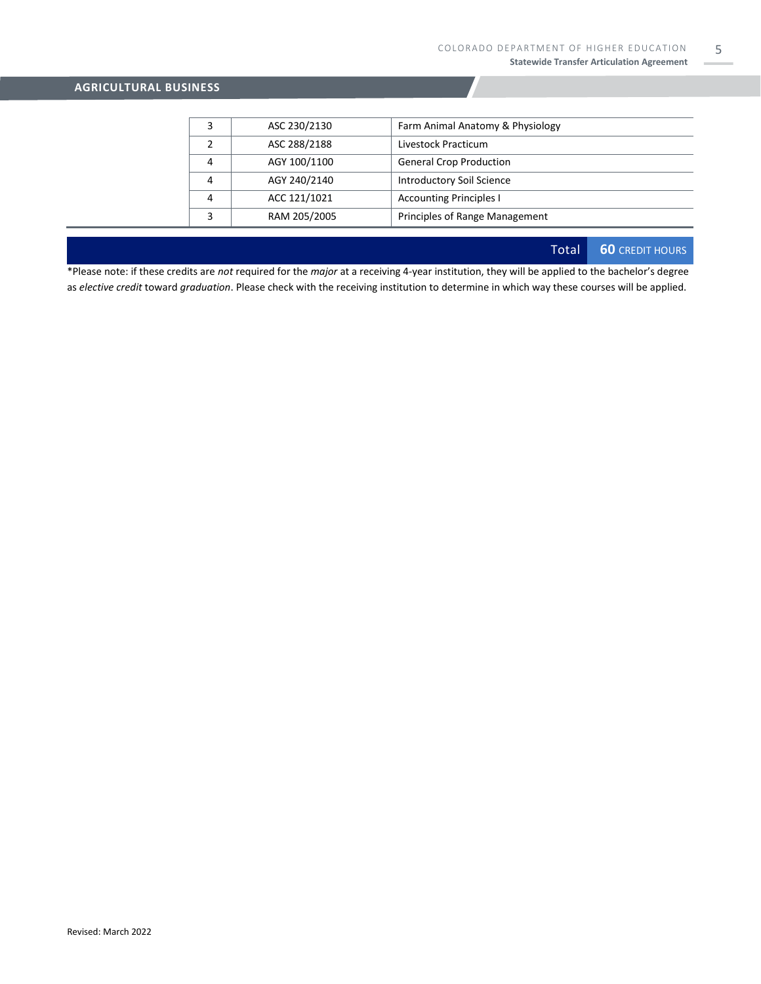|   | ASC 230/2130 | Farm Animal Anatomy & Physiology |
|---|--------------|----------------------------------|
|   | ASC 288/2188 | Livestock Practicum              |
| 4 | AGY 100/1100 | <b>General Crop Production</b>   |
| 4 | AGY 240/2140 | <b>Introductory Soil Science</b> |
| 4 | ACC 121/1021 | <b>Accounting Principles I</b>   |
|   | RAM 205/2005 | Principles of Range Management   |

Total **60** CREDIT HOURS

\*Please note: if these credits are *not* required for the *major* at a receiving 4-year institution, they will be applied to the bachelor's degree as *elective credit* toward *graduation*. Please check with the receiving institution to determine in which way these courses will be applied.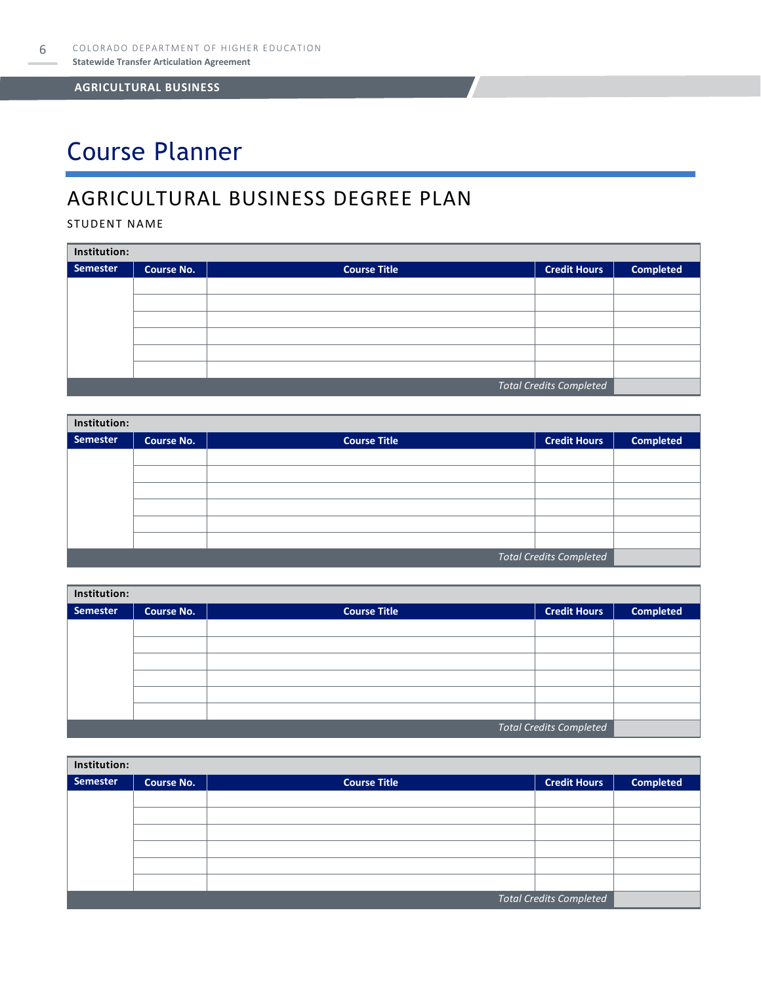# Course Planner

### AGRICULTURAL BUSINESS DEGREE PLAN

### STUDENT NAME

| Institution:                   |                   |                     |                     |                  |  |
|--------------------------------|-------------------|---------------------|---------------------|------------------|--|
| <b>Semester</b>                | <b>Course No.</b> | <b>Course Title</b> | <b>Credit Hours</b> | <b>Completed</b> |  |
|                                |                   |                     |                     |                  |  |
|                                |                   |                     |                     |                  |  |
|                                |                   |                     |                     |                  |  |
|                                |                   |                     |                     |                  |  |
|                                |                   |                     |                     |                  |  |
|                                |                   |                     |                     |                  |  |
| <b>Total Credits Completed</b> |                   |                     |                     |                  |  |

| Institution:                   |                   |                     |                     |                  |  |  |
|--------------------------------|-------------------|---------------------|---------------------|------------------|--|--|
| Semester                       | <b>Course No.</b> | <b>Course Title</b> | <b>Credit Hours</b> | <b>Completed</b> |  |  |
|                                |                   |                     |                     |                  |  |  |
|                                |                   |                     |                     |                  |  |  |
|                                |                   |                     |                     |                  |  |  |
|                                |                   |                     |                     |                  |  |  |
|                                |                   |                     |                     |                  |  |  |
|                                |                   |                     |                     |                  |  |  |
| <b>Total Credits Completed</b> |                   |                     |                     |                  |  |  |

| Institution: |                   |                     |                                |                  |  |  |
|--------------|-------------------|---------------------|--------------------------------|------------------|--|--|
| Semester     | <b>Course No.</b> | <b>Course Title</b> | <b>Credit Hours</b>            | <b>Completed</b> |  |  |
|              |                   |                     |                                |                  |  |  |
|              |                   |                     |                                |                  |  |  |
|              |                   |                     |                                |                  |  |  |
|              |                   |                     |                                |                  |  |  |
|              |                   |                     |                                |                  |  |  |
|              |                   |                     |                                |                  |  |  |
|              |                   |                     | <b>Total Credits Completed</b> |                  |  |  |

| Institution:                   |                   |                     |                     |                  |  |
|--------------------------------|-------------------|---------------------|---------------------|------------------|--|
| Semester                       | <b>Course No.</b> | <b>Course Title</b> | <b>Credit Hours</b> | <b>Completed</b> |  |
|                                |                   |                     |                     |                  |  |
|                                |                   |                     |                     |                  |  |
|                                |                   |                     |                     |                  |  |
|                                |                   |                     |                     |                  |  |
|                                |                   |                     |                     |                  |  |
|                                |                   |                     |                     |                  |  |
| <b>Total Credits Completed</b> |                   |                     |                     |                  |  |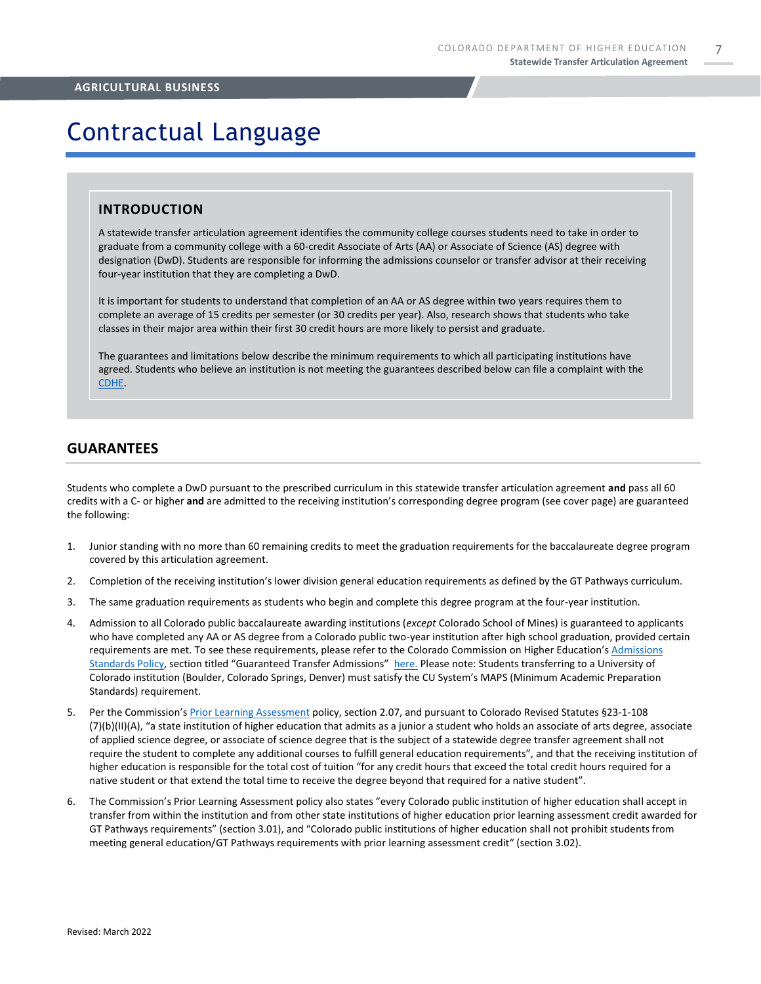7

## Contractual Language

#### **INTRODUCTION**

A statewide transfer articulation agreement identifies the community college courses students need to take in order to graduate from a community college with a 60-credit Associate of Arts (AA) or Associate of Science (AS) degree with designation (DwD). Students are responsible for informing the admissions counselor or transfer advisor at their receiving four-year institution that they are completing a DwD.

It is important for students to understand that completion of an AA or AS degree within two years requires them to complete an average of 15 credits per semester (or 30 credits per year). Also, research shows that students who take classes in their major area within their first 30 credit hours are more likely to persist and graduate.

The guarantees and limitations below describe the minimum requirements to which all participating institutions have agreed. Students who believe an institution is not meeting the guarantees described below can file a complaint with the [CDHE.](https://highered.colorado.gov/filing-student-complaint)

### **GUARANTEES**

Students who complete a DwD pursuant to the prescribed curriculum in this statewide transfer articulation agreement **and** pass all 60 credits with a C- or higher **and** are admitted to the receiving institution's corresponding degree program (see cover page) are guaranteed the following:

- 1. Junior standing with no more than 60 remaining credits to meet the graduation requirements for the baccalaureate degree program covered by this articulation agreement.
- 2. Completion of the receiving institution's lower division general education requirements as defined by the GT Pathways curriculum.
- 3. The same graduation requirements as students who begin and complete this degree program at the four-year institution.
- 4. Admission to all Colorado public baccalaureate awarding institutions (*except* Colorado School of Mines) is guaranteed to applicants who have completed any AA or AS degree from a Colorado public two-year institution after high school graduation, provided certain requirements are met. To see these requirements, please refer to the Colorado Commission on Higher Education's Admissions [Standards Policy](https://highered.colorado.gov/sites/highered/files/2020-03/i-partf_0.pdf), section titled "Guaranteed Transfer Admissions" [here.](https://highered.colorado.gov/educators/policy-funding/cche-policies-procedures) Please note: Students transferring to a University of Colorado institution (Boulder, Colorado Springs, Denver) must satisfy the CU System's MAPS (Minimum Academic Preparation Standards) requirement.
- 5. Per the Commission's [Prior Learning Assessment](https://highered.colorado.gov/Publications/Policies/Current/i-partx.pdf) policy, section 2.07, and pursuant to Colorado Revised Statutes §23-1-108 (7)(b)(II)(A), "a state institution of higher education that admits as a junior a student who holds an associate of arts degree, associate of applied science degree, or associate of science degree that is the subject of a statewide degree transfer agreement shall not require the student to complete any additional courses to fulfill general education requirements", and that the receiving institution of higher education is responsible for the total cost of tuition "for any credit hours that exceed the total credit hours required for a native student or that extend the total time to receive the degree beyond that required for a native student".
- 6. The Commission's Prior Learning Assessment policy also states "every Colorado public institution of higher education shall accept in transfer from within the institution and from other state institutions of higher education prior learning assessment credit awarded for GT Pathways requirements" (section 3.01), and "Colorado public institutions of higher education shall not prohibit students from meeting general education/GT Pathways requirements with prior learning assessment credit" (section 3.02).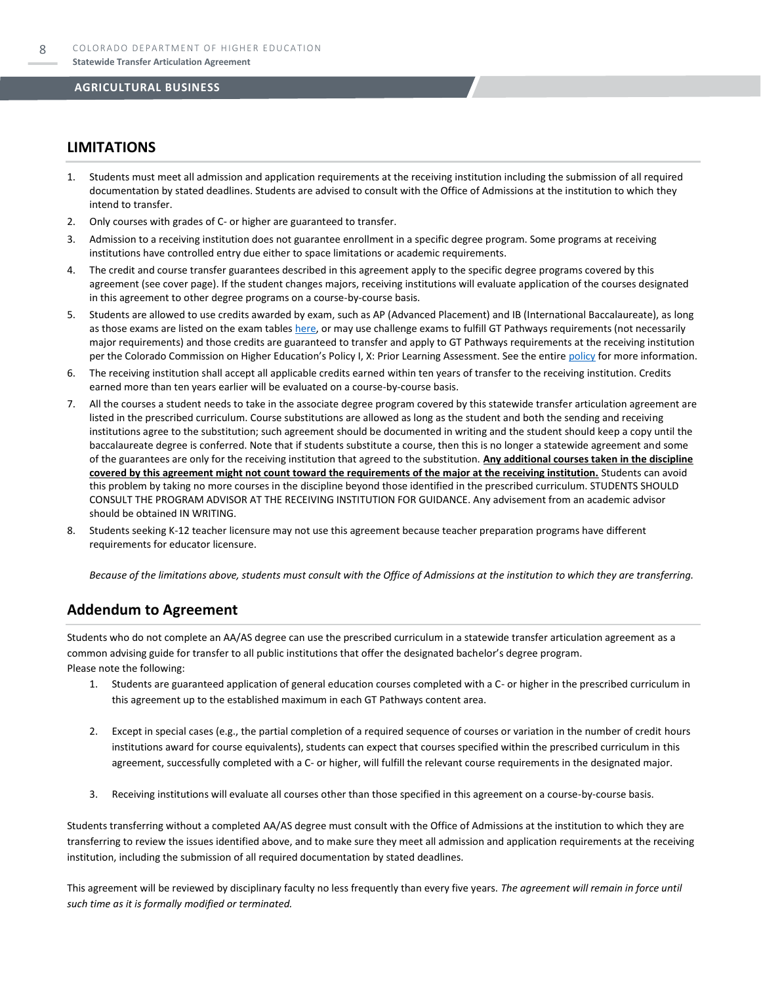### **LIMITATIONS**

- 1. Students must meet all admission and application requirements at the receiving institution including the submission of all required documentation by stated deadlines. Students are advised to consult with the Office of Admissions at the institution to which they intend to transfer.
- 2. Only courses with grades of C- or higher are guaranteed to transfer.
- 3. Admission to a receiving institution does not guarantee enrollment in a specific degree program. Some programs at receiving institutions have controlled entry due either to space limitations or academic requirements.
- 4. The credit and course transfer guarantees described in this agreement apply to the specific degree programs covered by this agreement (see cover page). If the student changes majors, receiving institutions will evaluate application of the courses designated in this agreement to other degree programs on a course-by-course basis.
- 5. Students are allowed to use credits awarded by exam, such as AP (Advanced Placement) and IB (International Baccalaureate), as long as those exams are listed on the exam table[s here,](https://highered.colorado.gov/get-credit-for-what-you-already-know) or may use challenge exams to fulfill GT Pathways requirements (not necessarily major requirements) and those credits are guaranteed to transfer and apply to GT Pathways requirements at the receiving institution per the Colorado Commission on Higher Education's Policy I, X: Prior Learning Assessment. See the entire [policy](https://highered.colorado.gov/Publications/Policies/Current/i-partx.pdf) for more information.
- 6. The receiving institution shall accept all applicable credits earned within ten years of transfer to the receiving institution. Credits earned more than ten years earlier will be evaluated on a course-by-course basis.
- 7. All the courses a student needs to take in the associate degree program covered by this statewide transfer articulation agreement are listed in the prescribed curriculum. Course substitutions are allowed as long as the student and both the sending and receiving institutions agree to the substitution; such agreement should be documented in writing and the student should keep a copy until the baccalaureate degree is conferred. Note that if students substitute a course, then this is no longer a statewide agreement and some of the guarantees are only for the receiving institution that agreed to the substitution. **Any additional courses taken in the discipline covered by this agreement might not count toward the requirements of the major at the receiving institution.** Students can avoid this problem by taking no more courses in the discipline beyond those identified in the prescribed curriculum. STUDENTS SHOULD CONSULT THE PROGRAM ADVISOR AT THE RECEIVING INSTITUTION FOR GUIDANCE. Any advisement from an academic advisor should be obtained IN WRITING.
- Students seeking K-12 teacher licensure may not use this agreement because teacher preparation programs have different requirements for educator licensure.

*Because of the limitations above, students must consult with the Office of Admissions at the institution to which they are transferring.*

### **Addendum to Agreement**

Students who do not complete an AA/AS degree can use the prescribed curriculum in a statewide transfer articulation agreement as a common advising guide for transfer to all public institutions that offer the designated bachelor's degree program. Please note the following:

- 1. Students are guaranteed application of general education courses completed with a C- or higher in the prescribed curriculum in this agreement up to the established maximum in each GT Pathways content area.
- 2. Except in special cases (e.g., the partial completion of a required sequence of courses or variation in the number of credit hours institutions award for course equivalents), students can expect that courses specified within the prescribed curriculum in this agreement, successfully completed with a C- or higher, will fulfill the relevant course requirements in the designated major.
- 3. Receiving institutions will evaluate all courses other than those specified in this agreement on a course-by-course basis.

Students transferring without a completed AA/AS degree must consult with the Office of Admissions at the institution to which they are transferring to review the issues identified above, and to make sure they meet all admission and application requirements at the receiving institution, including the submission of all required documentation by stated deadlines.

This agreement will be reviewed by disciplinary faculty no less frequently than every five years. *The agreement will remain in force until such time as it is formally modified or terminated.*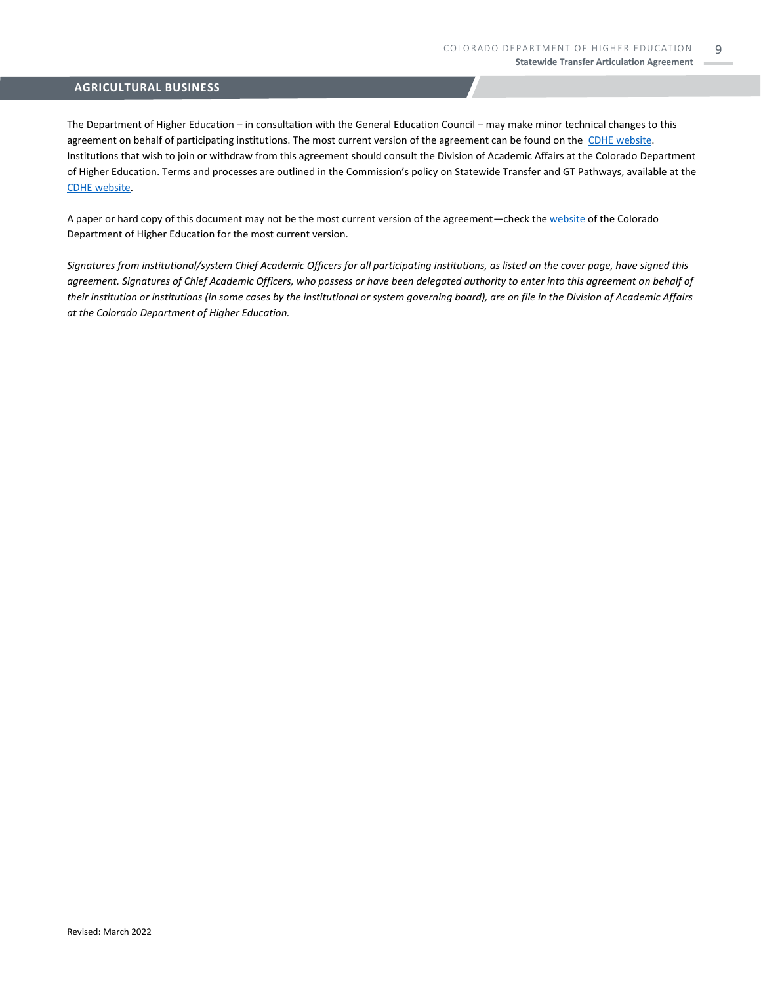The Department of Higher Education – in consultation with the General Education Council – may make minor technical changes to this agreement on behalf of participating institutions. The most current version of the agreement can be found on the [CDHE website.](https://highered.colorado.gov/transfer-degrees) Institutions that wish to join or withdraw from this agreement should consult the Division of Academic Affairs at the Colorado Department of Higher Education. Terms and processes are outlined in the Commission's policy on Statewide Transfer and GT Pathways, available at the [CDHE website.](https://highered.colorado.gov/educators/policy-funding/general-education-ge-council/gtpathways/transfer-agreements)

A paper or hard copy of this document may not be the most current version of the agreement—check th[e website](https://highered.colorado.gov/transfer-degrees) of the Colorado Department of Higher Education for the most current version.

*Signatures from institutional/system Chief Academic Officers for all participating institutions, as listed on the cover page, have signed this agreement. Signatures of Chief Academic Officers, who possess or have been delegated authority to enter into this agreement on behalf of their institution or institutions (in some cases by the institutional or system governing board), are on file in the Division of Academic Affairs at the Colorado Department of Higher Education.*